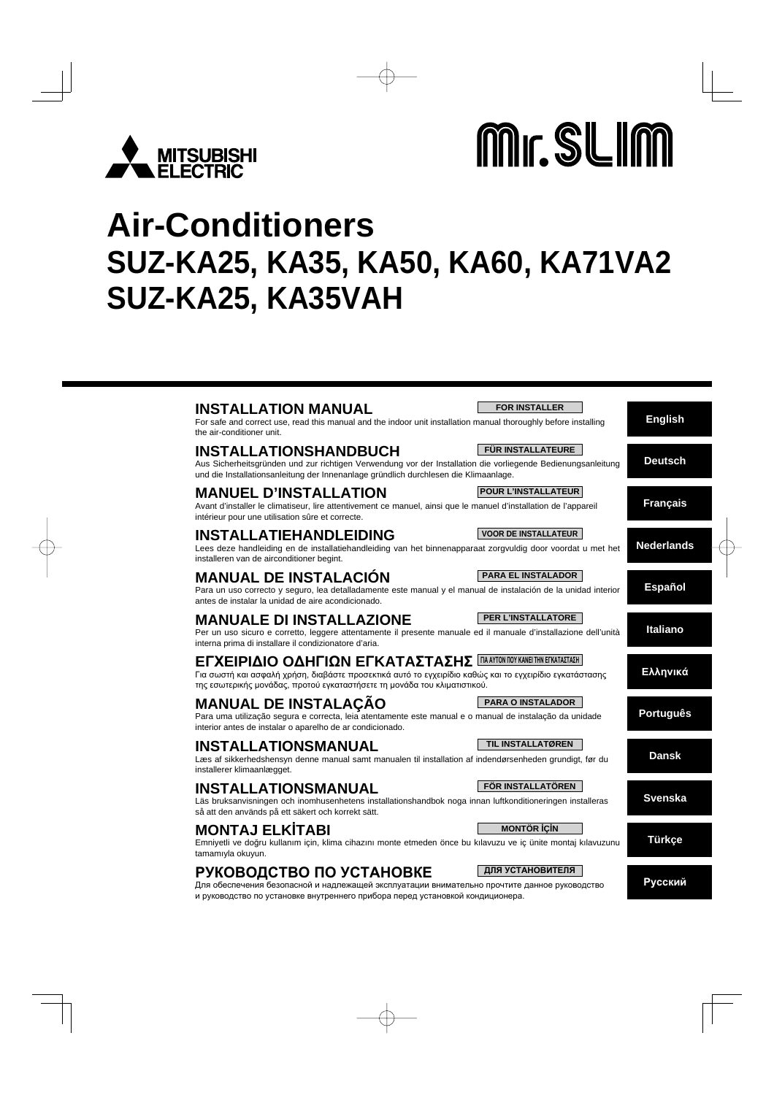

# Mr. SLIM

# **Air-Conditioners SUZ-KA25, KA35, KA50, KA60, KA71VA2 SUZ-KA25, KA35VAH**

| <b>FOR INSTALLER</b><br><b>INSTALLATION MANUAL</b><br>For safe and correct use, read this manual and the indoor unit installation manual thoroughly before installing<br>the air-conditioner unit.                                                               | <b>English</b>    |
|------------------------------------------------------------------------------------------------------------------------------------------------------------------------------------------------------------------------------------------------------------------|-------------------|
| <b>FÜR INSTALLATEURE</b><br><b>INSTALLATIONSHANDBUCH</b><br>Aus Sicherheitsgründen und zur richtigen Verwendung vor der Installation die vorliegende Bedienungsanleitung<br>und die Installationsanleitung der Innenanlage gründlich durchlesen die Klimaanlage. | <b>Deutsch</b>    |
| <b>POUR L'INSTALLATEUR</b><br><b>MANUEL D'INSTALLATION</b><br>Avant d'installer le climatiseur, lire attentivement ce manuel, ainsi que le manuel d'installation de l'appareil<br>intérieur pour une utilisation sûre et correcte.                               | <b>Français</b>   |
| <b>INSTALLATIEHANDLEIDING</b><br><b>VOOR DE INSTALLATEUR</b><br>Lees deze handleiding en de installatiehandleiding van het binnenapparaat zorgvuldig door voordat u met het<br>installeren van de airconditioner begint.                                         | <b>Nederlands</b> |
| <b>PARA EL INSTALADOR</b><br><b>MANUAL DE INSTALACIÓN</b><br>Para un uso correcto y seguro, lea detalladamente este manual y el manual de instalación de la unidad interior<br>antes de instalar la unidad de aire acondicionado.                                | <b>Español</b>    |
| PER L'INSTALLATORE<br><b>MANUALE DI INSTALLAZIONE</b><br>Per un uso sicuro e corretto, leggere attentamente il presente manuale ed il manuale d'installazione dell'unità<br>interna prima di installare il condizionatore d'aria.                                | <b>Italiano</b>   |
| <b>ΕΓΧΕΙΡΙΔΙΟ ΟΔΗΓΙΩΝ ΕΓΚΑΤΑΣΤΑΣΗΣ ΠΑΑΥΤΟΝ ΠΟΥ ΚΑΝΕΙ ΤΗΝ ΕΓΚΑΤΑΣΤΑΣΗ</b><br>Για σωστή και ασφαλή χρήση, διαβάστε προσεκτικά αυτό το εγχειρίδιο καθώς και το εγχειρίδιο εγκατάστασης<br>της εσωτερικής μονάδας, προτού εγκαταστήσετε τη μονάδα του κλιματιστικού. | Ελληνικά          |
| <b>MANUAL DE INSTALAÇÃO</b><br><b>PARA O INSTALADOR</b><br>Para uma utilização segura e correcta, leia atentamente este manual e o manual de instalação da unidade<br>interior antes de instalar o aparelho de ar condicionado.                                  | <b>Português</b>  |
| TIL INSTALLATØREN<br><b>INSTALLATIONSMANUAL</b><br>Læs af sikkerhedshensyn denne manual samt manualen til installation af indendørsenheden grundigt, før du<br>installerer klimaanlægget.                                                                        | <b>Dansk</b>      |
| FÖR INSTALLATÖREN<br><b>INSTALLATIONSMANUAL</b><br>Läs bruksanvisningen och inomhusenhetens installationshandbok noga innan luftkonditioneringen installeras<br>så att den används på ett säkert och korrekt sätt.                                               | <b>Svenska</b>    |
| <b>MONTAJ ELKÍTABI</b><br><b>MONTÖR İÇİN</b><br>Emniyetli ve doğru kullanım için, klima cihazını monte etmeden önce bu kılavuzu ve iç ünite montaj kılavuzunu<br>tamamıyla okuyun.                                                                               | <b>Türkçe</b>     |
| ДЛЯ УСТАНОВИТЕЛЯ<br>РУКОВОДСТВО ПО УСТАНОВКЕ<br>Для обеспечения безопасной и надлежащей эксплуатации внимательно прочтите данное руководство<br>и руководство по установке внутреннего прибора перед установкой кондиционера.                                    | Русский           |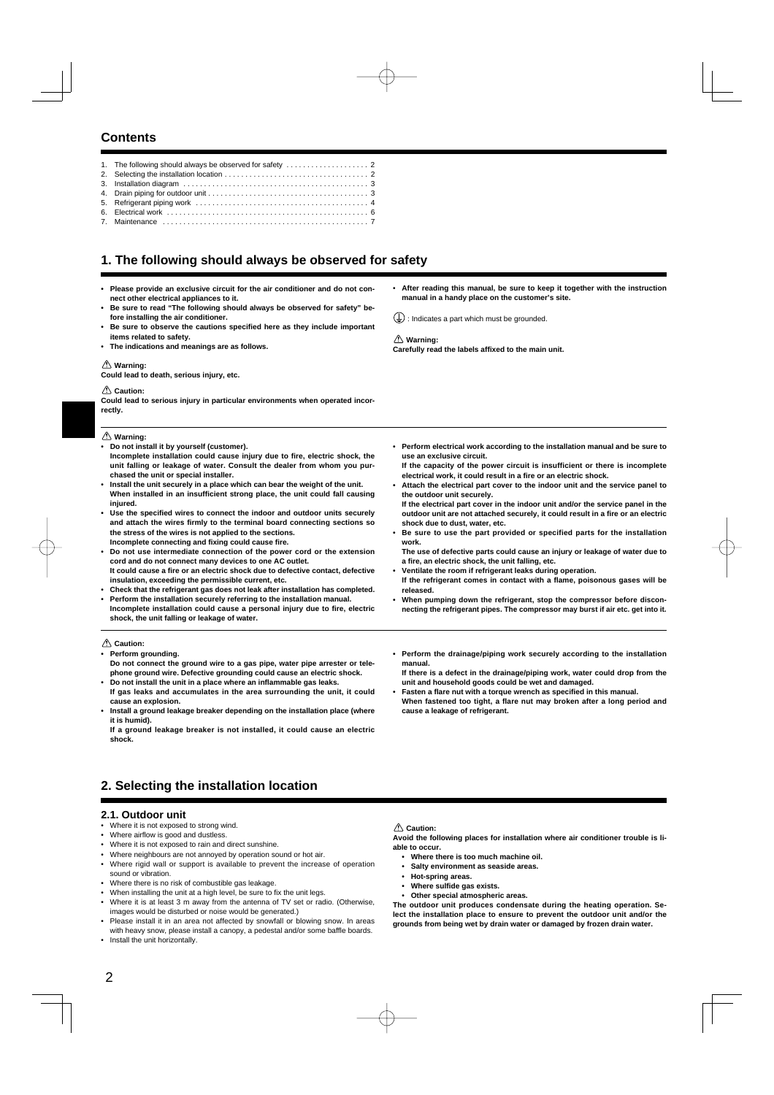# **Contents**

7. Maintenance . . . . . . . . . . . . . . . . . . . . . . . . . . . . . . . . . . . . . . . . . . . . . . . . . . 7

# **1. The following should always be observed for safety**

- **Please provide an exclusive circuit for the air conditioner and do not connect other electrical appliances to it.**
- **Be sure to read "The following should always be observed for safety" before installing the air conditioner.**
- Be sure to observe the cautions specified here as they include important **items related to safety.**
- **The indications and meanings are as follows.**

#### **Warning:**

**Could lead to death, serious injury, etc.**

#### **Caution:**

**Could lead to serious injury in particular environments when operated incorrectly.**

 **Warning:**

- **Do not install it by yourself (customer).** Incomplete installation could cause injury due to fire, electric shock, the **unit falling or leakage of water. Consult the dealer from whom you pur-**
- **chased the unit or special installer. • Install the unit securely in a place which can bear the weight of the unit.** When installed in an insufficient strong place, the unit could fall causing **injured.**
- Use the specified wires to connect the indoor and outdoor units securely **and attach the wires fi rmly to the terminal board connecting sections so the stress of the wires is not applied to the sections. Incomplete connecting and fi xing could cause fi re.**
- **Do not use intermediate connection of the power cord or the extension cord and do not connect many devices to one AC outlet.** It could cause a fire or an electric shock due to defective contact, defective **insulation, exceeding the permissible current, etc.**
- **Check that the refrigerant gas does not leak after installation has completed.**
- **Perform the installation securely referring to the installation manual. Incomplete installation could cause a personal injury due to fi re, electric shock, the unit falling or leakage of water.**
- **Caution:**
- **Perform grounding.**
- **Do not connect the ground wire to a gas pipe, water pipe arrester or telephone ground wire. Defective grounding could cause an electric shock. • Do not install the unit in a place where an inflammable gas leaks.**
- **If gas leaks and accumulates in the area surrounding the unit, it could cause an explosion.**
- **Install a ground leakage breaker depending on the installation place (where it is humid).**

**If a ground leakage breaker is not installed, it could cause an electric shock.**

• **After reading this manual, be sure to keep it together with the instruction manual in a handy place on the customer's site.**

 $(\frac{1}{x})$ : Indicates a part which must be grounded.

#### **Warning:**

**Carefully read the labels affi xed to the main unit.**

- **Perform electrical work according to the installation manual and be sure to use an exclusive circuit.**
- **If the capacity of the power circuit is insufficient or there is incomplete electrical work, it could result in a fire or an electric shock.**
- **Attach the electrical part cover to the indoor unit and the service panel to the outdoor unit securely. If the electrical part cover in the indoor unit and/or the service panel in the**
- **outdoor unit are not attached securely, it could result in a fire or an electric shock due to dust, water, etc.**
- **Be sure to use the part provided or specified parts for the installation work.**

**The use of defective parts could cause an injury or leakage of water due to a fi re, an electric shock, the unit falling, etc.**

- **Ventilate the room if refrigerant leaks during operation.**
- If the refrigerant comes in contact with a flame, poisonous gases will be **released.**
- **When pumping down the refrigerant, stop the compressor before disconnecting the refrigerant pipes. The compressor may burst if air etc. get into it.**
- **Perform the drainage/piping work securely according to the installation manual.**
- **If there is a defect in the drainage/piping work, water could drop from the unit and household goods could be wet and damaged.**
- **•** Fasten a flare nut with a torque wrench as specified in this manual. When fastened too tight, a flare nut may broken after a long period and **cause a leakage of refrigerant.**

# **2. Selecting the installation location**

## **2.1. Outdoor unit**

- Where it is not exposed to strong wind.
- Where airflow is good and dustless.
- Where it is not exposed to rain and direct sunshine.
- Where neighbours are not annoyed by operation sound or hot air.
- Where rigid wall or support is available to prevent the increase of operation sound or vibration.
- Where there is no risk of combustible gas leakage.
- When installing the unit at a high level, be sure to fix the unit legs.
- Where it is at least 3 m away from the antenna of TV set or radio. (Otherwise, images would be disturbed or noise would be generated.)
- Please install it in an area not affected by snowfall or blowing snow. In areas with heavy snow, please install a canopy, a pedestal and/or some baffle boards.
- Install the unit horizontally.

#### **Caution:**

**Avoid the following places for installation where air conditioner trouble is liable to occur.**

- **Where there is too much machine oil.**
- **Salty environment as seaside areas.**
- **Hot-spring areas.**
- **Where sulfi de gas exists.**
- **Other special atmospheric areas.**

**The outdoor unit produces condensate during the heating operation. Select the installation place to ensure to prevent the outdoor unit and/or the grounds from being wet by drain water or damaged by frozen drain water.**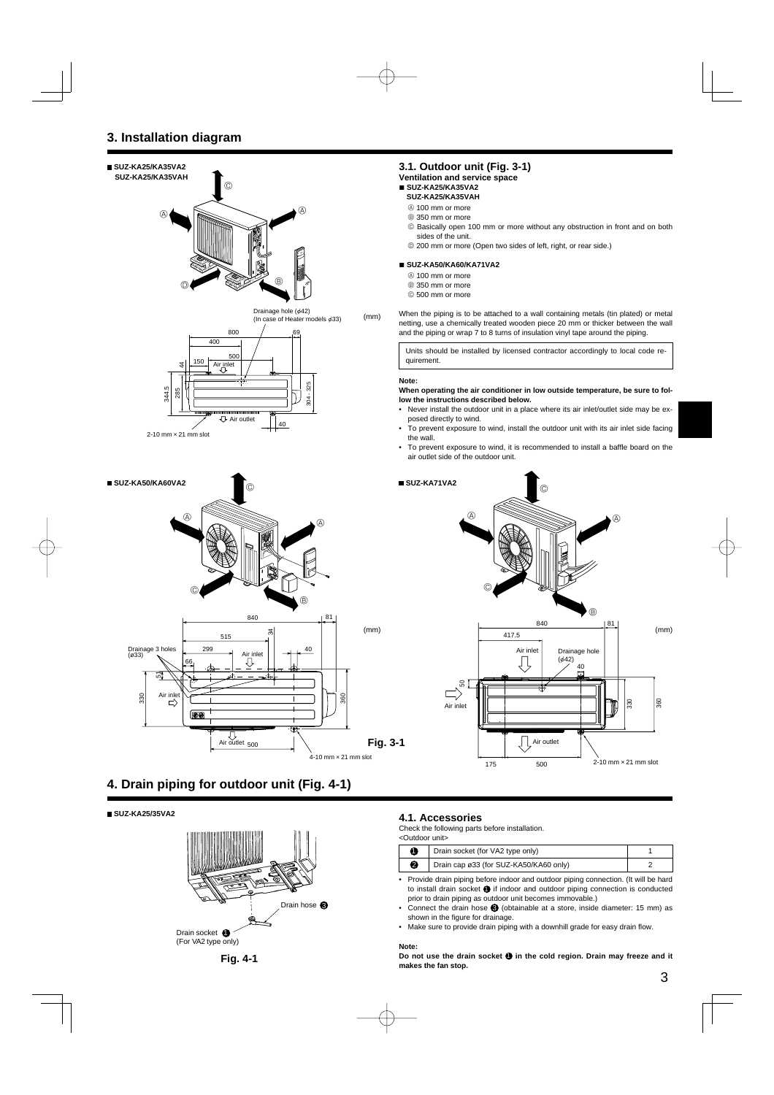

# **4. Drain piping for outdoor unit (Fig. 4-1)**

 **SUZ-KA25/35VA2**



## **3.1. Outdoor unit (Fig. 3-1)**

**Ventilation and service space**

# ■ **SUZ-KA25/KA35VA2**

- **SUZ-KA25/KA35VAH**
- A 100 mm or more
- $\circledR$  350 mm or more
- C Basically open 100 mm or more without any obstruction in front and on both sides of the unit.
- $@$  200 mm or more (Open two sides of left, right, or rear side.)

#### ■ **SUZ-KA50/KA60/KA71VA2**

- A 100 mm or more
- B 350 mm or more
- C 500 mm or more

When the piping is to be attached to a wall containing metals (tin plated) or metal netting, use a chemically treated wooden piece 20 mm or thicker between the wall and the piping or wrap 7 to 8 turns of insulation vinyl tape around the piping.

Units should be installed by licensed contractor accordingly to local code requirement.

#### **When operating the air conditioner in low outside temperature, be sure to follow the instructions described below.**

- Never install the outdoor unit in a place where its air inlet/outlet side may be exposed directly to wind.
- To prevent exposure to wind, install the outdoor unit with its air inlet side facing the wall.
- To prevent exposure to wind, it is recommended to install a baffle board on the air outlet side of the outdoor unit.



# **4.1. Accessories**

Check the following parts before installation.

| <outdoor unit=""></outdoor> |                                        |  |  |
|-----------------------------|----------------------------------------|--|--|
|                             | Drain socket (for VA2 type only)       |  |  |
| Ø                           | Drain cap ø33 (for SUZ-KA50/KA60 only) |  |  |

- Provide drain piping before indoor and outdoor piping connection. (It will be hard to install drain socket  $\bigcirc$  if indoor and outdoor piping connection is conducted prior to drain piping as outdoor unit becomes immovable.)
- Connect the drain hose  $\bigcirc$  (obtainable at a store, inside diameter: 15 mm) as shown in the figure for drainage.
- Make sure to provide drain piping with a downhill grade for easy drain flow.

#### **Note:**

**Do not use the drain socket**  $\bullet$  **in the cold region. Drain may freeze and it makes the fan stop.**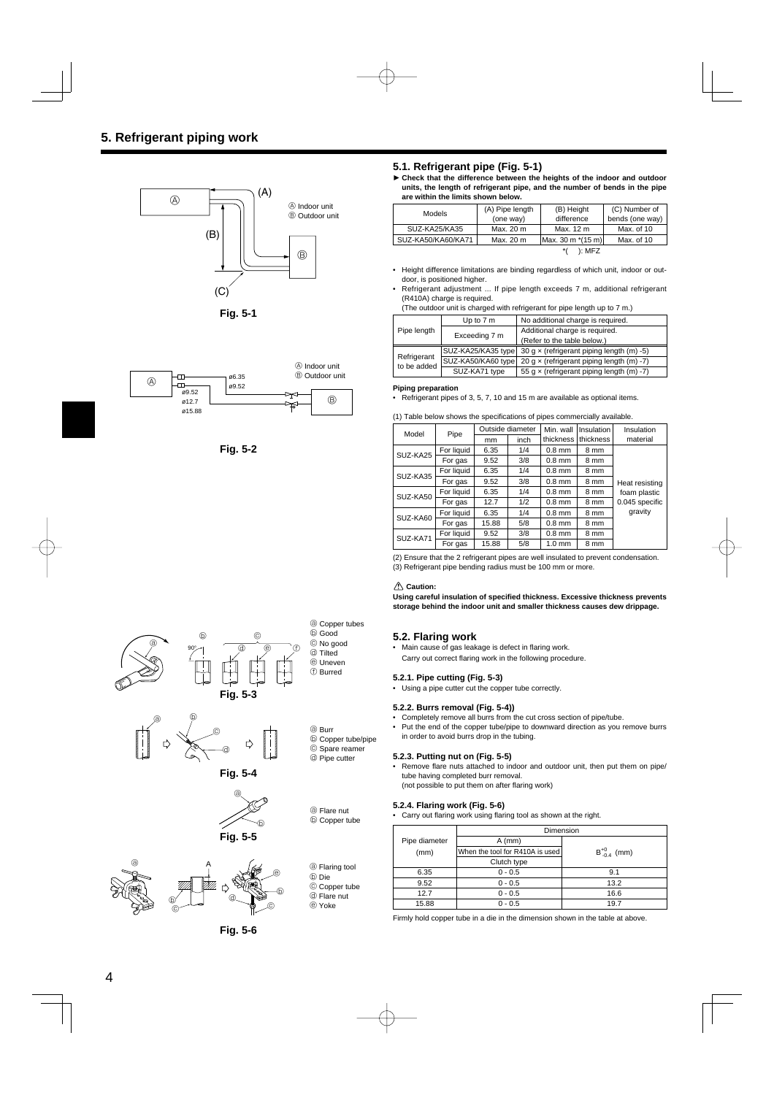

**Fig. 5-1**



**Fig. 5-2**



**► Check that the difference between the heights of the indoor and outdoor units, the length of refrigerant pipe, and the number of bends in the pipe are within the limits shown below.**

| <b>Models</b>      | (A) Pipe length | (B) Height        | (C) Number of   |
|--------------------|-----------------|-------------------|-----------------|
|                    | (one way)       | difference        | bends (one way) |
| SUZ-KA25/KA35      | Max. 20 m       | Max. 12 m         | Max. of 10      |
| SUZ-KA50/KA60/KA71 | Max. 20 m       | Max. 30 m *(15 m) | Max. of 10      |
|                    |                 | ): MFZ            |                 |

- Height difference limitations are binding regardless of which unit, indoor or outdoor, is positioned higher.
- Refrigerant adjustment ... If pipe length exceeds 7 m, additional refrigerant (R410A) charge is required.

<sup>(</sup>The outdoor unit is charged with refrigerant for pipe length up to 7 m.)

|                            | Up to 7 m          | No additional charge is required.                |  |
|----------------------------|--------------------|--------------------------------------------------|--|
| Pipe length                | Exceeding 7 m      | Additional charge is required.                   |  |
|                            |                    | (Refer to the table below.)                      |  |
| Refrigerant<br>to be added | SUZ-KA25/KA35 type | 30 g $\times$ (refrigerant piping length (m) -5) |  |
|                            | SUZ-KA50/KA60 type | 20 g $\times$ (refrigerant piping length (m) -7) |  |
|                            | SUZ-KA71 type      | 55 g $\times$ (refrigerant piping length (m) -7) |  |

#### **Piping preparation**

• Refrigerant pipes of 3, 5, 7, 10 and 15 m are available as optional items.

(1) Table below shows the specifications of pipes commercially available.

| Model    | Pipe       | Outside diameter |      | Min. wall        | Insulation | Insulation     |
|----------|------------|------------------|------|------------------|------------|----------------|
|          |            | mm               | inch | thickness        | thickness  | material       |
| SUZ-KA25 | For liquid | 6.35             | 1/4  | $0.8$ mm         | 8 mm       |                |
|          | For gas    | 9.52             | 3/8  | $0.8$ mm         | 8 mm       |                |
| SUZ-KA35 | For liquid | 6.35             | 1/4  | $0.8$ mm         | 8 mm       |                |
|          | For gas    | 9.52             | 3/8  | $0.8$ mm         | 8 mm       | Heat resisting |
| SUZ-KA50 | For liquid | 6.35             | 1/4  | $0.8$ mm         | 8 mm       | foam plastic   |
|          | For gas    | 12.7             | 1/2  | $0.8$ mm         | 8 mm       | 0.045 specific |
| SUZ-KA60 | For liquid | 6.35             | 1/4  | $0.8$ mm         | 8 mm       | gravity        |
|          | For gas    | 15.88            | 5/8  | $0.8$ mm         | 8 mm       |                |
| SUZ-KA71 | For liquid | 9.52             | 3/8  | $0.8$ mm         | 8 mm       |                |
|          | For gas    | 15.88            | 5/8  | $1.0 \text{ mm}$ | 8 mm       |                |

(2) Ensure that the 2 refrigerant pipes are well insulated to prevent condensation. (3) Refrigerant pipe bending radius must be 100 mm or more.

#### **Caution:**

**Using careful insulation of specifi ed thickness. Excessive thickness prevents storage behind the indoor unit and smaller thickness causes dew drippage.**

#### **5.2. Flaring work**

- Main cause of gas leakage is defect in flaring work.
- Carry out correct flaring work in the following procedure.

#### **5.2.1. Pipe cutting (Fig. 5-3)**

• Using a pipe cutter cut the copper tube correctly.

#### **5.2.2. Burrs removal (Fig. 5-4))**

- Completely remove all burrs from the cut cross section of pipe/tube.
- Put the end of the copper tube/pipe to downward direction as you remove burrs in order to avoid burrs drop in the tubing.

#### **5.2.3. Putting nut on (Fig. 5-5)**

• Remove flare nuts attached to indoor and outdoor unit, then put them on pipe/ tube having completed burr removal. (not possible to put them on after flaring work)

#### **5.2.4. Flaring work (Fig. 5-6)**

• Carry out flaring work using flaring tool as shown at the right.

|               | Dimension                       |                      |  |
|---------------|---------------------------------|----------------------|--|
| Pipe diameter | $A$ (mm)                        |                      |  |
| (mm)          | When the tool for R410A is used | $B_{-0.4}^{+0}$ (mm) |  |
|               | Clutch type                     |                      |  |
| 6.35          | $0 - 0.5$                       | 9.1                  |  |
| 9.52          | $0 - 0.5$                       | 13.2                 |  |
| 12.7          | $0 - 0.5$                       | 16.6                 |  |
| 15.88         | $0 - 0.5$                       | 19.7                 |  |

Firmly hold copper tube in a die in the dimension shown in the table at above.









b Copper tube/pipe © Spare reamer d Pipe cutter

a Flare nut b Copper tube

<sup>3</sup> Flaring tool b Die © Copper tube d Flare nut e Yoke

**Fig. 5-5**



**Fig. 5-6**

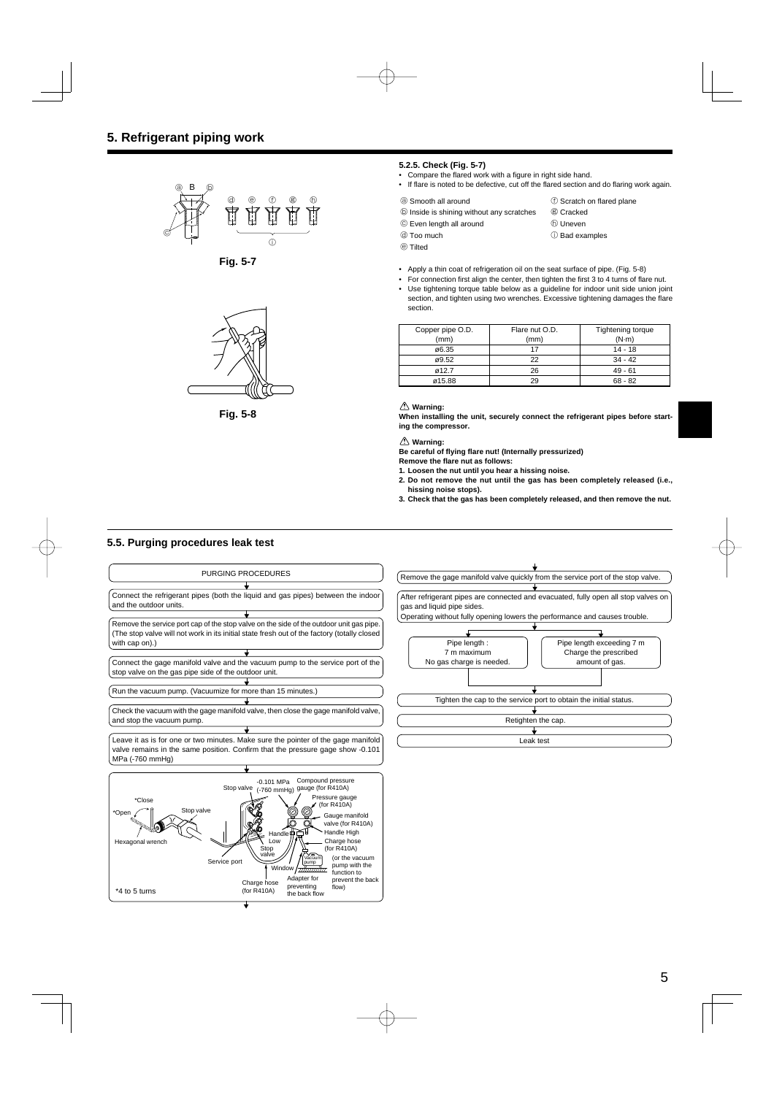

**Fig. 5-7**



**Fig. 5-8**

#### **5.2.5. Check (Fig. 5-7)**

- Compare the flared work with a figure in right side hand.
- If flare is noted to be defective, cut off the flared section and do flaring work again.

```
a Smooth all around f Scratch on flared plane
```
- $\circledR$  Inside is shining without any scratches  $\circledR$  Cracked
- © Even length all around h D Uneven
	-
- **d** Too much in Bad examples
- e Tilted
- 
- Apply a thin coat of refrigeration oil on the seat surface of pipe. (Fig. 5-8)
- For connection first align the center, then tighten the first 3 to 4 turns of flare nut. • Use tightening torque table below as a guideline for indoor unit side union joint section, and tighten using two wrenches. Excessive tightening damages the flare section.

| Copper pipe O.D. | Flare nut O.D. | Tightening torque |
|------------------|----------------|-------------------|
| (mm)             | (mm)           | $(N-m)$           |
| ø6.35            |                | 14 - 18           |
| ø9.52            | つつ             | $34 - 42$         |
| ø12.7            | 26             | $49 - 61$         |
| ø15.88           |                | $68 - 82$         |

#### **Warning:**

**When installing the unit, securely connect the refrigerant pipes before starting the compressor.**

 **Warning:**

**Be careful of fl ying fl are nut! (Internally pressurized)**

**Remove the fl are nut as follows:**

- **1. Loosen the nut until you hear a hissing noise. 2. Do not remove the nut until the gas has been completely released (i.e., hissing noise stops).**
- **3. Check that the gas has been completely released, and then remove the nut.**

# **5.5. Purging procedures leak test**

Hexagonal wrench

\*4 to 5 turns



(or the vacuum pump with the function to prevent the back flow)

valve (for R410A)

Handle High

Charge hose (for R410A)

Vacuum pump Adapter for preventing the back flow

Handle Low

**Wind** 

Charge hose (for R410A)

Stop valv

Service port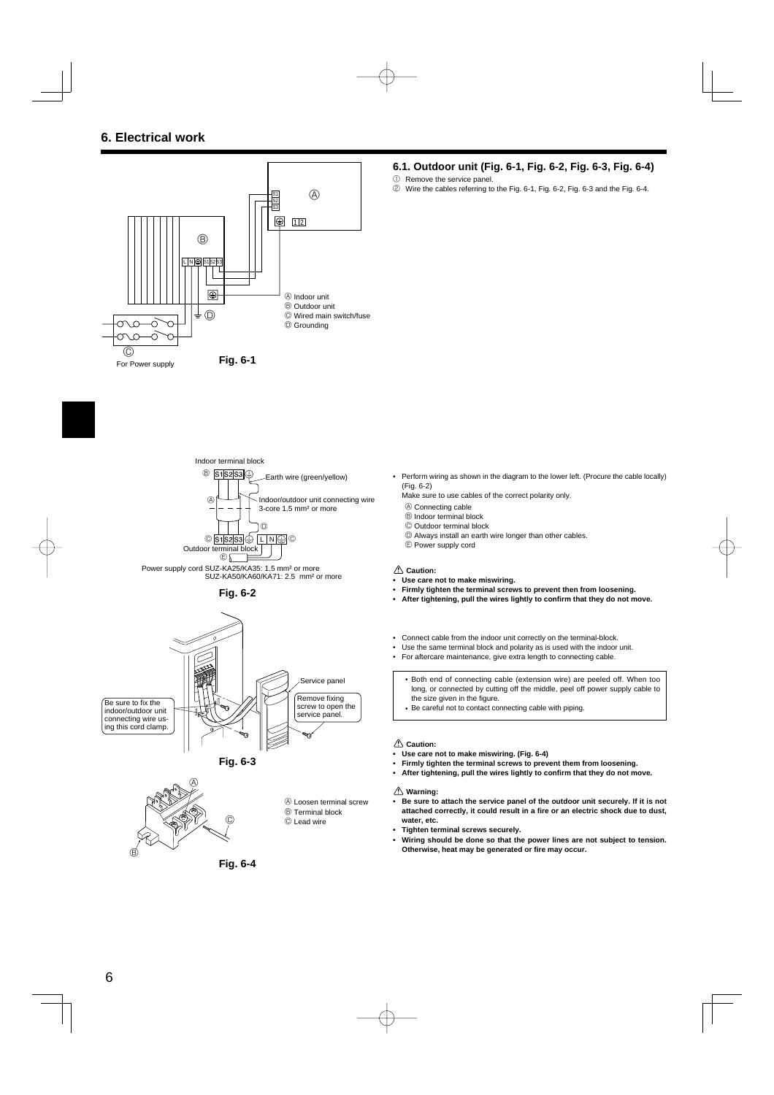









**Fig. 6-4**

#### **6.1. Outdoor unit (Fig. 6-1, Fig. 6-2, Fig. 6-3, Fig. 6-4)**

- 1 Remove the service panel.
- 2 Wire the cables referring to the Fig. 6-1, Fig. 6-2, Fig. 6-3 and the Fig. 6-4.

• Perform wiring as shown in the diagram to the lower left. (Procure the cable locally) (Fig. 6-2)

Make sure to use cables of the correct polarity only.

- A Connecting cable
- B Indoor terminal block
- C Outdoor terminal block
- D Always install an earth wire longer than other cables. E Power supply cord

#### **Caution:**

- **Use care not to make miswiring.**
- **Firmly tighten the terminal screws to prevent then from loosening.**
- After tightening, pull the wires lightly to confirm that they do not move.
- Connect cable from the indoor unit correctly on the terminal-block.
- Use the same terminal block and polarity as is used with the indoor unit.
- For aftercare maintenance, give extra length to connecting cable.
	- Both end of connecting cable (extension wire) are peeled off. When too long, or connected by cutting off the middle, peel off power supply cable to the size given in the figure.
	- Be careful not to contact connecting cable with piping.

#### **Caution:**

- **Use care not to make miswiring. (Fig. 6-4)**
- **Firmly tighten the terminal screws to prevent them from loosening.**
- After tightening, pull the wires lightly to confirm that they do not move.

#### **Warning:**

- **Be sure to attach the service panel of the outdoor unit securely. If it is not**  attached correctly, it could result in a fire or an electric shock due to dust, **water, etc.**
- **Tighten terminal screws securely.**
- **Wiring should be done so that the power lines are not subject to tension.**  Otherwise, heat may be generated or fire may occur.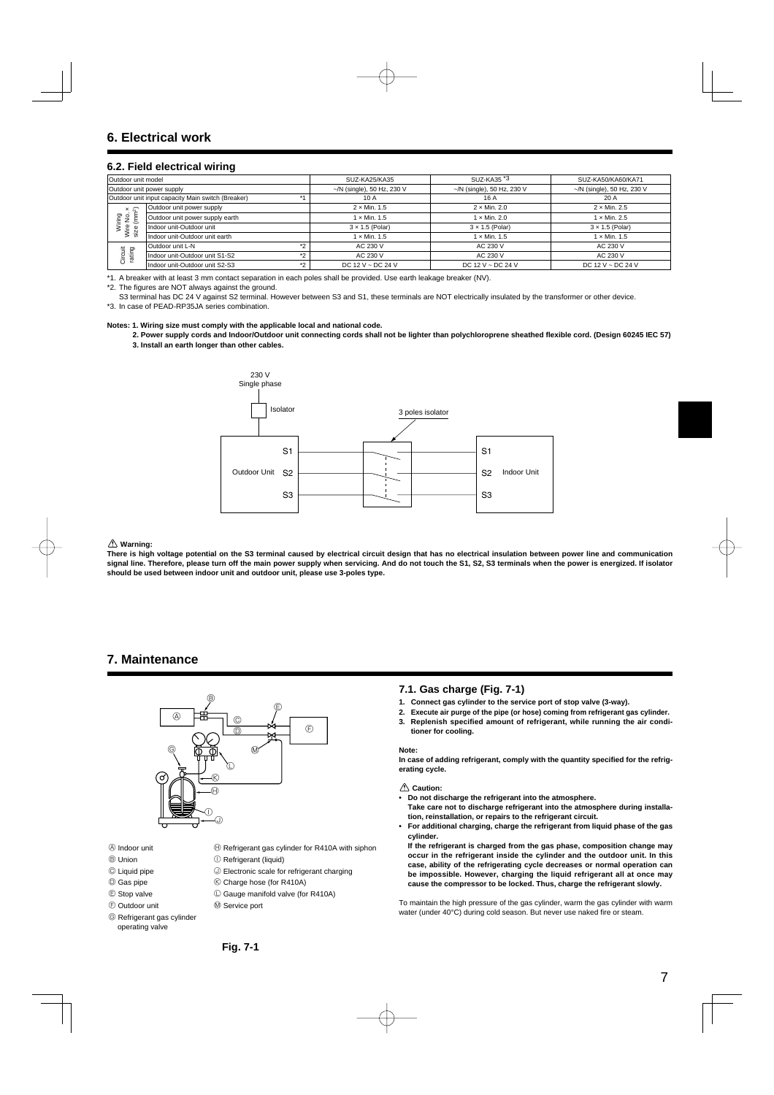#### **6.2. Field electrical wiring**

| Outdoor unit model              |                                                   | SUZ-KA25/KA35                    | SUZ-KA35 *3                      | SUZ-KA50/KA60/KA71         |
|---------------------------------|---------------------------------------------------|----------------------------------|----------------------------------|----------------------------|
| Outdoor unit power supply       |                                                   | $\sim$ /N (single), 50 Hz, 230 V | $\sim$ /N (single), 50 Hz, 230 V | ~/N (single), 50 Hz, 230 V |
|                                 | Outdoor unit input capacity Main switch (Breaker) | 10 A                             | 16 A                             | 20 A                       |
| $x \approx$                     | Outdoor unit power supply                         | $2 \times$ Min. 1.5              | $2 \times$ Min. 2.0              | $2 \times$ Min. 2.5        |
| Wiring<br>Wire No.<br>size (mm) | Outdoor unit power supply earth                   | 1 × Min. 1.5                     | $1 \times$ Min. 2.0              | $1 \times$ Min. 2.5        |
|                                 | Indoor unit-Outdoor unit                          | $3 \times 1.5$ (Polar)           | $3 \times 1.5$ (Polar)           | $3 \times 1.5$ (Polar)     |
|                                 | Indoor unit-Outdoor unit earth                    | $1 \times$ Min. $1.5$            | $1 \times$ Min. 1.5              | $1 \times$ Min. $1.5$      |
| Circuit<br>rating               | Outdoor unit L-N<br>$*$                           | AC 230 V                         | AC 230 V                         | AC 230 V                   |
|                                 | Indoor unit-Outdoor unit S1-S2<br>$*$             | AC 230 V                         | AC 230 V                         | AC 230 V                   |
|                                 | Indoor unit-Outdoor unit S2-S3<br>$*2$            | DC 12 V ~ DC 24 V                | DC 12 V ~ DC 24 V                | DC 12 V ~ DC 24 V          |

\*1. A breaker with at least 3 mm contact separation in each poles shall be provided. Use earth leakage breaker (NV).

\*2. The figures are NOT always against the ground.

S3 terminal has DC 24 V against S2 terminal. However between S3 and S1, these terminals are NOT electrically insulated by the transformer or other device. \*3. In case of PEAD-RP35JA series combination.

#### **Notes: 1. Wiring size must comply with the applicable local and national code.**

2. Power supply cords and Indoor/Outdoor unit connecting cords shall not be lighter than polychloroprene sheathed flexible cord. (Design 60245 IEC 57) **3. Install an earth longer than other cables.**



#### **Warning:**

**There is high voltage potential on the S3 terminal caused by electrical circuit design that has no electrical insulation between power line and communication**  signal line. Therefore, please turn off the main power supply when servicing. And do not touch the S1, S2, S3 terminals when the power is energized. If isolator **should be used between indoor unit and outdoor unit, please use 3-poles type.**

# **7. Maintenance**



- $\textcircled{4}$  Indoor unit  $\textcircled{4}$  Refrigerant gas cylinder for R410A with siphon
- **B** Union **I Refrigerant (liquid)**
- © Liquid pipe  $\bigcirc$  Electronic scale for refrigerant charging
- **C** Gas pipe **K** Charge hose (for R410A)
- E Stop valve L Gauge manifold valve (for R410A)
- $\circledR$  Outdoor unit  $\circledR$  Service port
- G Refrigerant gas cylinder operating valve
- **7.1. Gas charge (Fig. 7-1)**
- **1. Connect gas cylinder to the service port of stop valve (3-way).**
- **2. Execute air purge of the pipe (or hose) coming from refrigerant gas cylinder. 3. Replenish specified amount of refrigerant, while running the air conditioner for cooling.**

#### **Note:**

In case of adding refrigerant, comply with the quantity specified for the refrig**erating cycle.**

#### **Caution:**

- **Do not discharge the refrigerant into the atmosphere.**
- **Take care not to discharge refrigerant into the atmosphere during installation, reinstallation, or repairs to the refrigerant circuit.**
- **For additional charging, charge the refrigerant from liquid phase of the gas cylinder.**
- **If the refrigerant is charged from the gas phase, composition change may occur in the refrigerant inside the cylinder and the outdoor unit. In this case, ability of the refrigerating cycle decreases or normal operation can be impossible. However, charging the liquid refrigerant all at once may cause the compressor to be locked. Thus, charge the refrigerant slowly.**

To maintain the high pressure of the gas cylinder, warm the gas cylinder with warm water (under 40°C) during cold season. But never use naked fire or steam.

**Fig. 7-1**